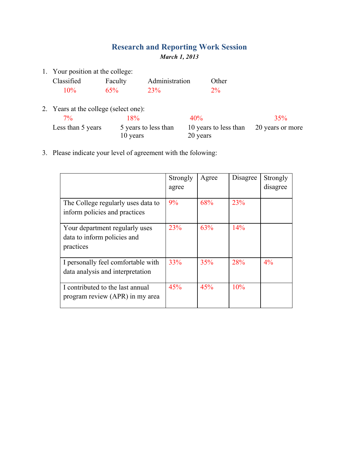## **Research and Reporting Work Session** *March 1, 2013*

1. Your position at the college:

| Classified | Faculty | Administration | Other |
|------------|---------|----------------|-------|
| $10\%$     | 65%     | <b>23%</b>     | $2\%$ |

- 2. Years at the college (select one):  $7\%$  18% 40% 35% Less than 5 years 5 years to less than 10 years 10 years to less than 20 years 20 years or more
- 3. Please indicate your level of agreement with the folowing:

|                                                                            | Strongly<br>agree | Agree | Disagree | Strongly<br>disagree |
|----------------------------------------------------------------------------|-------------------|-------|----------|----------------------|
| The College regularly uses data to<br>inform policies and practices        | 9%                | 68%   | 23%      |                      |
| Your department regularly uses<br>data to inform policies and<br>practices | 23%               | 63%   | 14%      |                      |
| I personally feel comfortable with<br>data analysis and interpretation     | 33%               | 35%   | 28%      | $4\%$                |
| I contributed to the last annual<br>program review (APR) in my area        | 45%               | 45%   | 10%      |                      |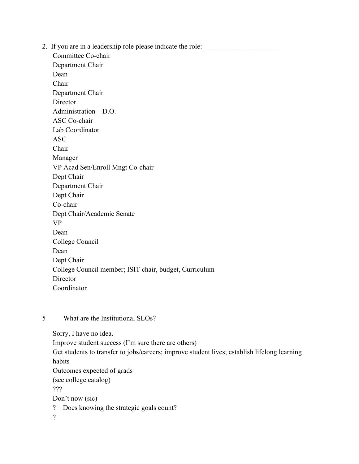2. If you are in a leadership role please indicate the role:

Committee Co-chair Department Chair Dean Chair Department Chair **Director** Administration – D.O. ASC Co-chair Lab Coordinator ASC Chair Manager VP Acad Sen/Enroll Mngt Co-chair Dept Chair Department Chair Dept Chair Co-chair Dept Chair/Academic Senate VP Dean College Council Dean Dept Chair College Council member; ISIT chair, budget, Curriculum Director Coordinator

## 5 What are the Institutional SLOs?

Sorry, I have no idea. Improve student success (I'm sure there are others) Get students to transfer to jobs/careers; improve student lives; establish lifelong learning habits Outcomes expected of grads (see college catalog) ??? Don't now (sic) ? – Does knowing the strategic goals count? ?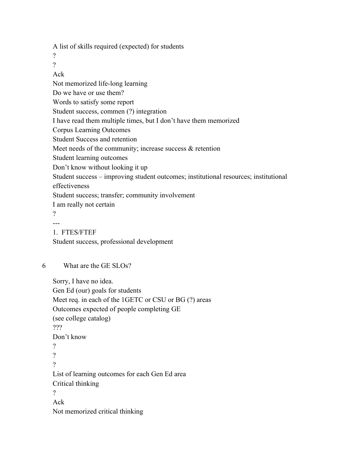A list of skills required (expected) for students

 $\gamma$ 

?

Ack

Not memorized life-long learning

Do we have or use them?

Words to satisfy some report

Student success, commen (?) integration

I have read them multiple times, but I don't have them memorized

Corpus Learning Outcomes

Student Success and retention

Meet needs of the community; increase success & retention

Student learning outcomes

Don't know without looking it up

Student success – improving student outcomes; institutional resources; institutional effectiveness

Student success; transfer; community involvement

I am really not certain

?

---

1. FTES/FTEF Student success, professional development

6 What are the GE SLOs?

Sorry, I have no idea. Gen Ed (our) goals for students Meet req. in each of the 1GETC or CSU or BG (?) areas Outcomes expected of people completing GE (see college catalog) ??? Don't know ? ? ? List of learning outcomes for each Gen Ed area Critical thinking

?

Ack

Not memorized critical thinking